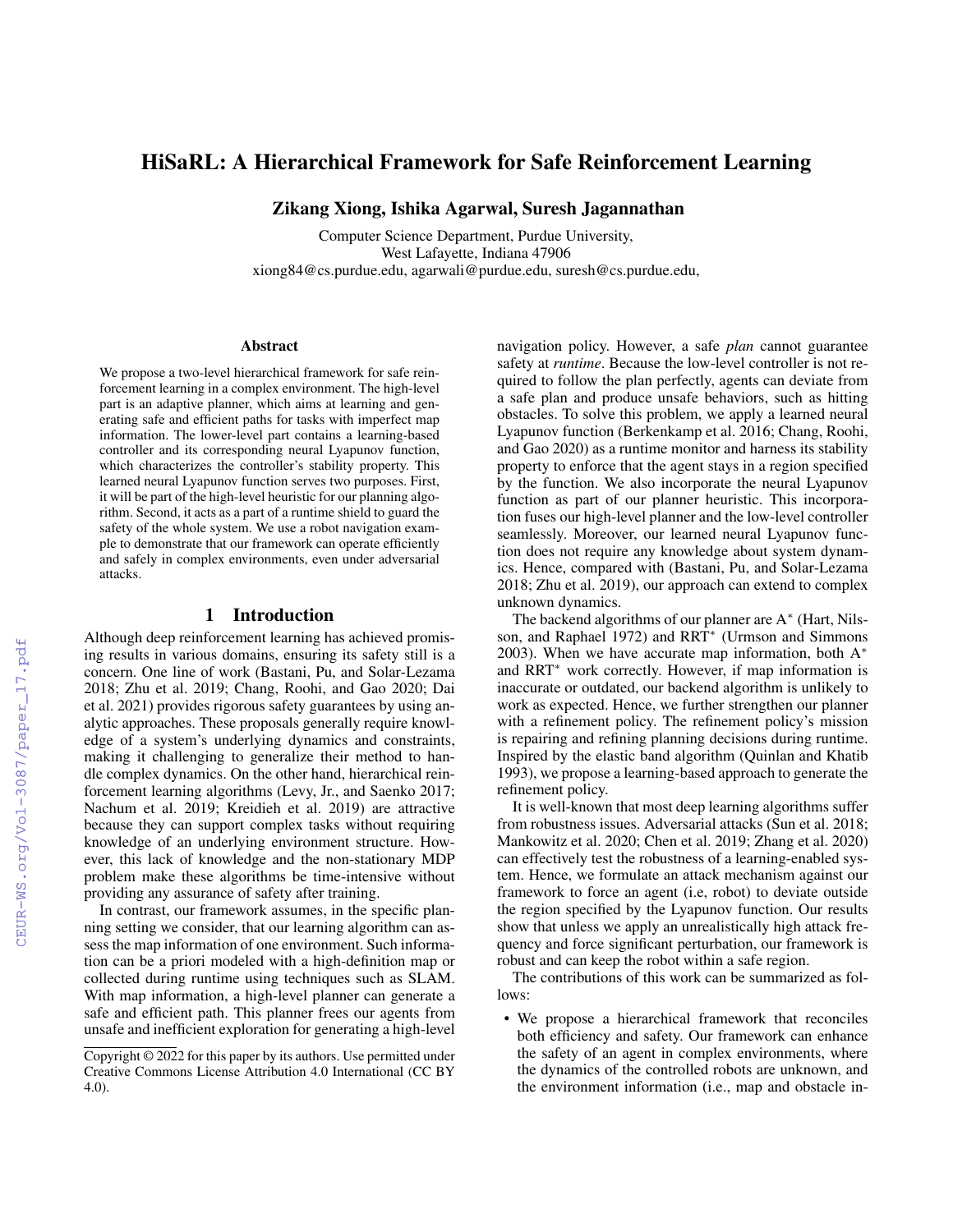# HiSaRL: A Hierarchical Framework for Safe Reinforcement Learning

Zikang Xiong, Ishika Agarwal, Suresh Jagannathan

Computer Science Department, Purdue University, West Lafayette, Indiana 47906 xiong84@cs.purdue.edu, agarwali@purdue.edu, suresh@cs.purdue.edu,

#### Abstract

We propose a two-level hierarchical framework for safe reinforcement learning in a complex environment. The high-level part is an adaptive planner, which aims at learning and generating safe and efficient paths for tasks with imperfect map information. The lower-level part contains a learning-based controller and its corresponding neural Lyapunov function, which characterizes the controller's stability property. This learned neural Lyapunov function serves two purposes. First, it will be part of the high-level heuristic for our planning algorithm. Second, it acts as a part of a runtime shield to guard the safety of the whole system. We use a robot navigation example to demonstrate that our framework can operate efficiently and safely in complex environments, even under adversarial attacks.

## 1 Introduction

Although deep reinforcement learning has achieved promising results in various domains, ensuring its safety still is a concern. One line of work (Bastani, Pu, and Solar-Lezama 2018; Zhu et al. 2019; Chang, Roohi, and Gao 2020; Dai et al. 2021) provides rigorous safety guarantees by using analytic approaches. These proposals generally require knowledge of a system's underlying dynamics and constraints, making it challenging to generalize their method to handle complex dynamics. On the other hand, hierarchical reinforcement learning algorithms (Levy, Jr., and Saenko 2017; Nachum et al. 2019; Kreidieh et al. 2019) are attractive because they can support complex tasks without requiring knowledge of an underlying environment structure. However, this lack of knowledge and the non-stationary MDP problem make these algorithms be time-intensive without providing any assurance of safety after training.

In contrast, our framework assumes, in the specific planning setting we consider, that our learning algorithm can assess the map information of one environment. Such information can be a priori modeled with a high-definition map or collected during runtime using techniques such as SLAM. With map information, a high-level planner can generate a safe and efficient path. This planner frees our agents from unsafe and inefficient exploration for generating a high-level navigation policy. However, a safe *plan* cannot guarantee safety at *runtime*. Because the low-level controller is not required to follow the plan perfectly, agents can deviate from a safe plan and produce unsafe behaviors, such as hitting obstacles. To solve this problem, we apply a learned neural Lyapunov function (Berkenkamp et al. 2016; Chang, Roohi, and Gao 2020) as a runtime monitor and harness its stability property to enforce that the agent stays in a region specified by the function. We also incorporate the neural Lyapunov function as part of our planner heuristic. This incorporation fuses our high-level planner and the low-level controller seamlessly. Moreover, our learned neural Lyapunov function does not require any knowledge about system dynamics. Hence, compared with (Bastani, Pu, and Solar-Lezama 2018; Zhu et al. 2019), our approach can extend to complex unknown dynamics.

The backend algorithms of our planner are A<sup>\*</sup> (Hart, Nilsson, and Raphael 1972) and RRT<sup>∗</sup> (Urmson and Simmons 2003). When we have accurate map information, both  $A^*$ and RRT<sup>∗</sup> work correctly. However, if map information is inaccurate or outdated, our backend algorithm is unlikely to work as expected. Hence, we further strengthen our planner with a refinement policy. The refinement policy's mission is repairing and refining planning decisions during runtime. Inspired by the elastic band algorithm (Quinlan and Khatib 1993), we propose a learning-based approach to generate the refinement policy.

It is well-known that most deep learning algorithms suffer from robustness issues. Adversarial attacks (Sun et al. 2018; Mankowitz et al. 2020; Chen et al. 2019; Zhang et al. 2020) can effectively test the robustness of a learning-enabled system. Hence, we formulate an attack mechanism against our framework to force an agent (i.e, robot) to deviate outside the region specified by the Lyapunov function. Our results show that unless we apply an unrealistically high attack frequency and force significant perturbation, our framework is robust and can keep the robot within a safe region.

The contributions of this work can be summarized as follows:

• We propose a hierarchical framework that reconciles both efficiency and safety. Our framework can enhance the safety of an agent in complex environments, where the dynamics of the controlled robots are unknown, and the environment information (i.e., map and obstacle in-

Copyright  $\odot$  2022 for this paper by its authors. Use permitted under Creative Commons License Attribution 4.0 International (CC BY 4.0).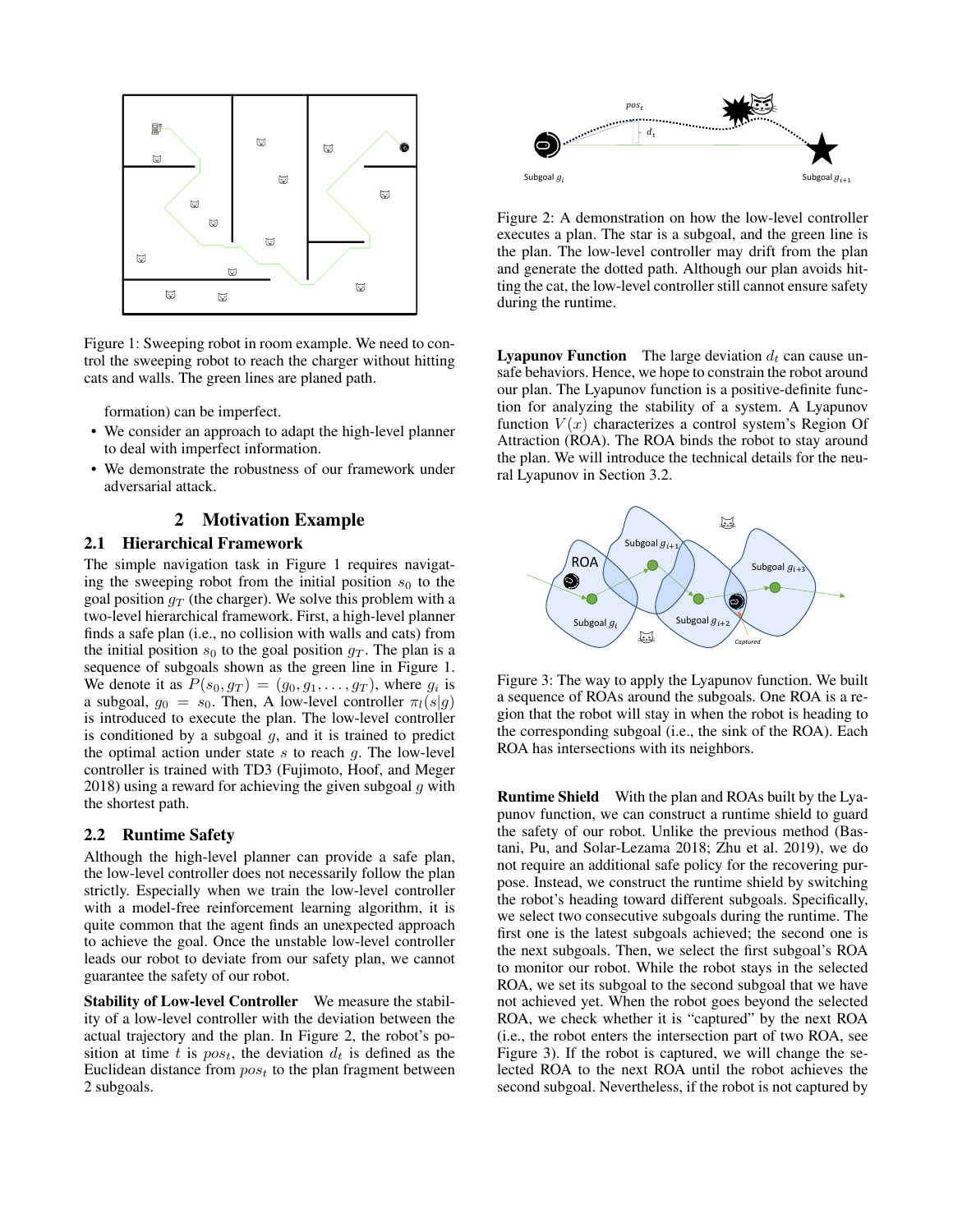

Figure 1: Sweeping robot in room example. We need to control the sweeping robot to reach the charger without hitting cats and walls. The green lines are planed path.

formation) can be imperfect.

- We consider an approach to adapt the high-level planner to deal with imperfect information.
- We demonstrate the robustness of our framework under adversarial attack.

## 2 Motivation Example

#### 2.1 Hierarchical Framework

The simple navigation task in Figure 1 requires navigating the sweeping robot from the initial position  $s_0$  to the goal position  $q_T$  (the charger). We solve this problem with a two-level hierarchical framework. First, a high-level planner finds a safe plan (i.e., no collision with walls and cats) from the initial position  $s_0$  to the goal position  $g<sub>T</sub>$ . The plan is a sequence of subgoals shown as the green line in Figure 1. We denote it as  $P(s_0, g_T) = (g_0, g_1, \dots, g_T)$ , where  $g_i$  is a subgoal,  $g_0 = s_0$ . Then, A low-level controller  $\pi_l(s|g)$ is introduced to execute the plan. The low-level controller is conditioned by a subgoal  $g$ , and it is trained to predict the optimal action under state  $s$  to reach  $g$ . The low-level controller is trained with TD3 (Fujimoto, Hoof, and Meger 2018) using a reward for achieving the given subgoal  $g$  with the shortest path.

#### 2.2 Runtime Safety

Although the high-level planner can provide a safe plan, the low-level controller does not necessarily follow the plan strictly. Especially when we train the low-level controller with a model-free reinforcement learning algorithm, it is quite common that the agent finds an unexpected approach to achieve the goal. Once the unstable low-level controller leads our robot to deviate from our safety plan, we cannot guarantee the safety of our robot.

Stability of Low-level Controller We measure the stability of a low-level controller with the deviation between the actual trajectory and the plan. In Figure 2, the robot's position at time t is  $pos_t$ , the deviation  $d_t$  is defined as the Euclidean distance from  $pos_t$  to the plan fragment between 2 subgoals.



Figure 2: A demonstration on how the low-level controller executes a plan. The star is a subgoal, and the green line is the plan. The low-level controller may drift from the plan and generate the dotted path. Although our plan avoids hitting the cat, the low-level controller still cannot ensure safety during the runtime.

**Lyapunov Function** The large deviation  $d_t$  can cause unsafe behaviors. Hence, we hope to constrain the robot around our plan. The Lyapunov function is a positive-definite function for analyzing the stability of a system. A Lyapunov function  $V(x)$  characterizes a control system's Region Of Attraction (ROA). The ROA binds the robot to stay around the plan. We will introduce the technical details for the neural Lyapunov in Section 3.2.



Figure 3: The way to apply the Lyapunov function. We built a sequence of ROAs around the subgoals. One ROA is a region that the robot will stay in when the robot is heading to the corresponding subgoal (i.e., the sink of the ROA). Each ROA has intersections with its neighbors.

Runtime Shield With the plan and ROAs built by the Lyapunov function, we can construct a runtime shield to guard the safety of our robot. Unlike the previous method (Bastani, Pu, and Solar-Lezama 2018; Zhu et al. 2019), we do not require an additional safe policy for the recovering purpose. Instead, we construct the runtime shield by switching the robot's heading toward different subgoals. Specifically, we select two consecutive subgoals during the runtime. The first one is the latest subgoals achieved; the second one is the next subgoals. Then, we select the first subgoal's ROA to monitor our robot. While the robot stays in the selected ROA, we set its subgoal to the second subgoal that we have not achieved yet. When the robot goes beyond the selected ROA, we check whether it is "captured" by the next ROA (i.e., the robot enters the intersection part of two ROA, see Figure 3). If the robot is captured, we will change the selected ROA to the next ROA until the robot achieves the second subgoal. Nevertheless, if the robot is not captured by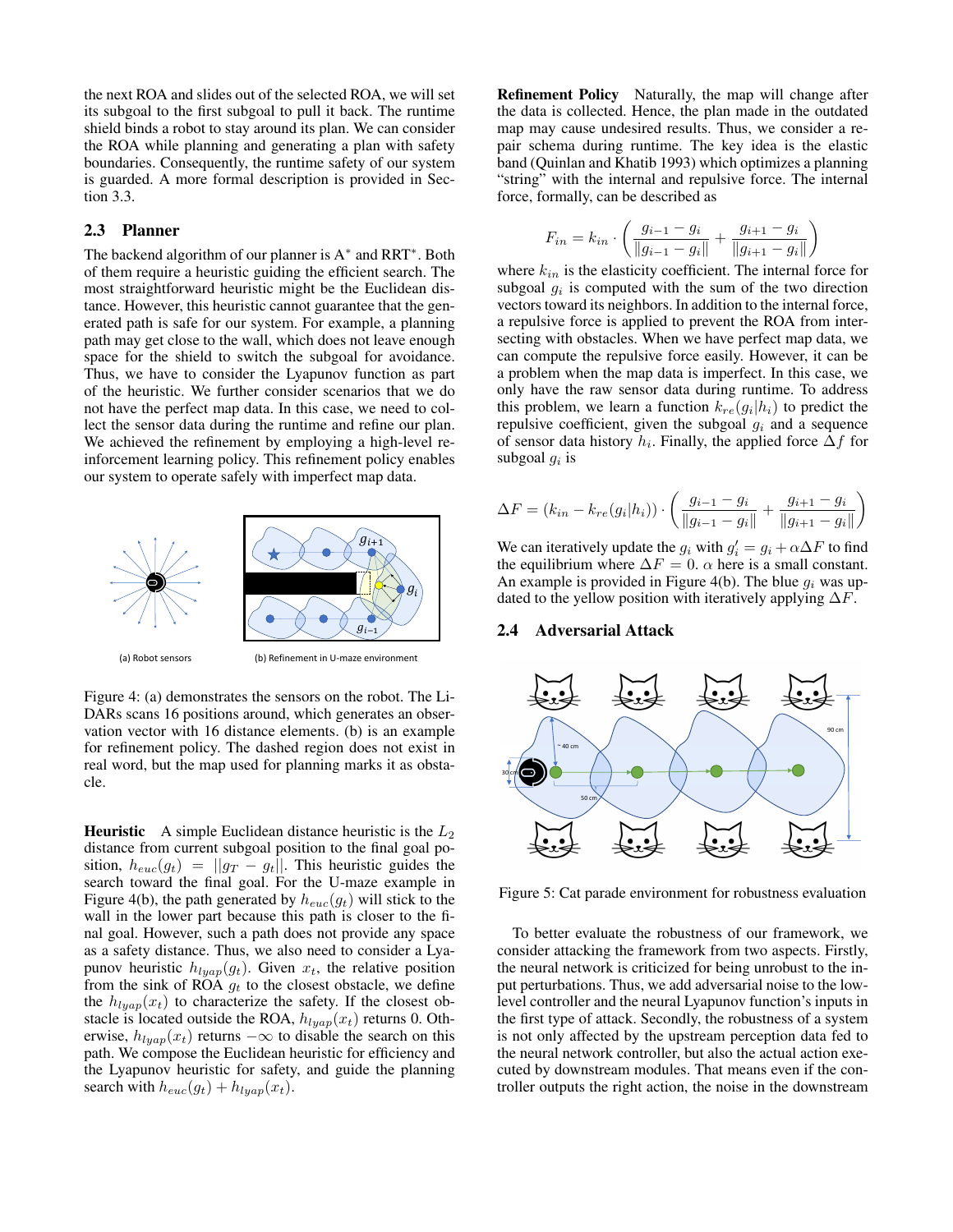the next ROA and slides out of the selected ROA, we will set its subgoal to the first subgoal to pull it back. The runtime shield binds a robot to stay around its plan. We can consider the ROA while planning and generating a plan with safety boundaries. Consequently, the runtime safety of our system is guarded. A more formal description is provided in Section 3.3.

## 2.3 Planner

The backend algorithm of our planner is A<sup>\*</sup> and RRT<sup>\*</sup>. Both of them require a heuristic guiding the efficient search. The most straightforward heuristic might be the Euclidean distance. However, this heuristic cannot guarantee that the generated path is safe for our system. For example, a planning path may get close to the wall, which does not leave enough space for the shield to switch the subgoal for avoidance. Thus, we have to consider the Lyapunov function as part of the heuristic. We further consider scenarios that we do not have the perfect map data. In this case, we need to collect the sensor data during the runtime and refine our plan. We achieved the refinement by employing a high-level reinforcement learning policy. This refinement policy enables our system to operate safely with imperfect map data.



Figure 4: (a) demonstrates the sensors on the robot. The Li-DARs scans 16 positions around, which generates an observation vector with 16 distance elements. (b) is an example for refinement policy. The dashed region does not exist in real word, but the map used for planning marks it as obstacle.

**Heuristic** A simple Euclidean distance heuristic is the  $L_2$ distance from current subgoal position to the final goal position,  $h_{euc}(g_t) = ||g_T - g_t||$ . This heuristic guides the search toward the final goal. For the U-maze example in Figure 4(b), the path generated by  $h_{euc}(q_t)$  will stick to the wall in the lower part because this path is closer to the final goal. However, such a path does not provide any space as a safety distance. Thus, we also need to consider a Lyapunov heuristic  $h_{lyap}(g_t)$ . Given  $x_t$ , the relative position from the sink of ROA  $q_t$  to the closest obstacle, we define the  $h_{luan}(x_t)$  to characterize the safety. If the closest obstacle is located outside the ROA,  $h_{lyap}(x_t)$  returns 0. Otherwise,  $h_{luan}(x_t)$  returns  $-\infty$  to disable the search on this path. We compose the Euclidean heuristic for efficiency and the Lyapunov heuristic for safety, and guide the planning search with  $h_{euc}(g_t) + h_{lyap}(x_t)$ .

Refinement Policy Naturally, the map will change after the data is collected. Hence, the plan made in the outdated map may cause undesired results. Thus, we consider a repair schema during runtime. The key idea is the elastic band (Quinlan and Khatib 1993) which optimizes a planning "string" with the internal and repulsive force. The internal force, formally, can be described as

$$
F_{in} = k_{in} \cdot \left( \frac{g_{i-1} - g_i}{\|g_{i-1} - g_i\|} + \frac{g_{i+1} - g_i}{\|g_{i+1} - g_i\|} \right)
$$

where  $k_{in}$  is the elasticity coefficient. The internal force for subgoal  $g_i$  is computed with the sum of the two direction vectors toward its neighbors. In addition to the internal force, a repulsive force is applied to prevent the ROA from intersecting with obstacles. When we have perfect map data, we can compute the repulsive force easily. However, it can be a problem when the map data is imperfect. In this case, we only have the raw sensor data during runtime. To address this problem, we learn a function  $k_{re}(g_i|h_i)$  to predict the repulsive coefficient, given the subgoal  $g_i$  and a sequence of sensor data history  $h_i$ . Finally, the applied force  $\Delta f$  for subgoal  $g_i$  is

$$
\Delta F = (k_{in} - k_{re}(g_i|h_i)) \cdot \left(\frac{g_{i-1} - g_i}{\|g_{i-1} - g_i\|} + \frac{g_{i+1} - g_i}{\|g_{i+1} - g_i\|}\right)
$$

We can iteratively update the  $g_i$  with  $g'_i = g_i + \alpha \Delta F$  to find the equilibrium where  $\Delta F = 0$ .  $\alpha$  here is a small constant. An example is provided in Figure 4(b). The blue  $g_i$  was updated to the yellow position with iteratively applying  $\Delta F$ .

#### 2.4 Adversarial Attack



Figure 5: Cat parade environment for robustness evaluation

To better evaluate the robustness of our framework, we consider attacking the framework from two aspects. Firstly, the neural network is criticized for being unrobust to the input perturbations. Thus, we add adversarial noise to the lowlevel controller and the neural Lyapunov function's inputs in the first type of attack. Secondly, the robustness of a system is not only affected by the upstream perception data fed to the neural network controller, but also the actual action executed by downstream modules. That means even if the controller outputs the right action, the noise in the downstream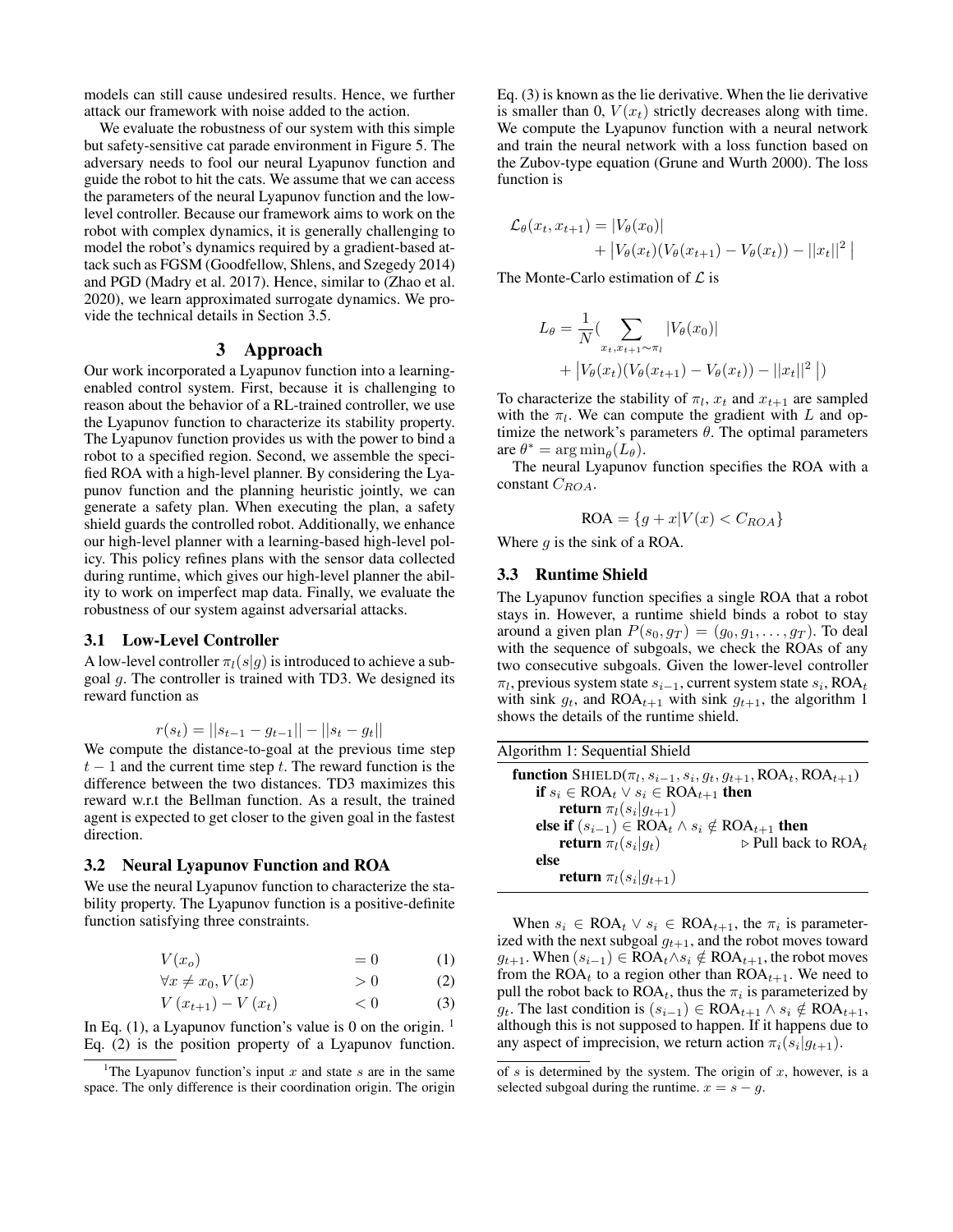models can still cause undesired results. Hence, we further attack our framework with noise added to the action.

We evaluate the robustness of our system with this simple but safety-sensitive cat parade environment in Figure 5. The adversary needs to fool our neural Lyapunov function and guide the robot to hit the cats. We assume that we can access the parameters of the neural Lyapunov function and the lowlevel controller. Because our framework aims to work on the robot with complex dynamics, it is generally challenging to model the robot's dynamics required by a gradient-based attack such as FGSM (Goodfellow, Shlens, and Szegedy 2014) and PGD (Madry et al. 2017). Hence, similar to (Zhao et al. 2020), we learn approximated surrogate dynamics. We provide the technical details in Section 3.5.

### 3 Approach

Our work incorporated a Lyapunov function into a learningenabled control system. First, because it is challenging to reason about the behavior of a RL-trained controller, we use the Lyapunov function to characterize its stability property. The Lyapunov function provides us with the power to bind a robot to a specified region. Second, we assemble the specified ROA with a high-level planner. By considering the Lyapunov function and the planning heuristic jointly, we can generate a safety plan. When executing the plan, a safety shield guards the controlled robot. Additionally, we enhance our high-level planner with a learning-based high-level policy. This policy refines plans with the sensor data collected during runtime, which gives our high-level planner the ability to work on imperfect map data. Finally, we evaluate the robustness of our system against adversarial attacks.

## 3.1 Low-Level Controller

A low-level controller  $\pi_l(s|g)$  is introduced to achieve a subgoal g. The controller is trained with TD3. We designed its reward function as

$$
r(s_t) = ||s_{t-1} - g_{t-1}|| - ||s_t - g_t||
$$

We compute the distance-to-goal at the previous time step  $t-1$  and the current time step t. The reward function is the difference between the two distances. TD3 maximizes this reward w.r.t the Bellman function. As a result, the trained agent is expected to get closer to the given goal in the fastest direction.

#### 3.2 Neural Lyapunov Function and ROA

We use the neural Lyapunov function to characterize the stability property. The Lyapunov function is a positive-definite function satisfying three constraints.

$$
V(x_o) = 0 \tag{1}
$$

$$
\forall x \neq x_0, V(x) \qquad \qquad > 0 \tag{2}
$$

$$
V\left(x_{t+1}\right) - V\left(x_t\right) \qquad \qquad < 0 \tag{3}
$$

In Eq.  $(1)$ , a Lyapunov function's value is 0 on the origin. <sup>1</sup> Eq. (2) is the position property of a Lyapunov function. Eq. (3) is known as the lie derivative. When the lie derivative is smaller than 0,  $V(x_t)$  strictly decreases along with time. We compute the Lyapunov function with a neural network and train the neural network with a loss function based on the Zubov-type equation (Grune and Wurth 2000). The loss function is

$$
\mathcal{L}_{\theta}(x_t, x_{t+1}) = |V_{\theta}(x_0)| + |V_{\theta}(x_t)(V_{\theta}(x_{t+1}) - V_{\theta}(x_t)) - ||x_t||^2
$$

The Monte-Carlo estimation of  $\mathcal L$  is

$$
L_{\theta} = \frac{1}{N} \left( \sum_{x_t, x_{t+1} \sim \pi_l} |V_{\theta}(x_0)| + |V_{\theta}(x_t)(V_{\theta}(x_{t+1}) - V_{\theta}(x_t)) - ||x_t||^2 \right)
$$

To characterize the stability of  $\pi_l$ ,  $x_t$  and  $x_{t+1}$  are sampled with the  $\pi_l$ . We can compute the gradient with L and optimize the network's parameters  $\theta$ . The optimal parameters are  $\theta^* = \arg \min_{\theta} (L_{\theta}).$ 

The neural Lyapunov function specifies the ROA with a constant  $C_{ROA}$ .

$$
ROA = \{g + x | V(x) < C_{ROA}\}
$$

Where  $q$  is the sink of a ROA.

#### 3.3 Runtime Shield

The Lyapunov function specifies a single ROA that a robot stays in. However, a runtime shield binds a robot to stay around a given plan  $P(s_0, g_T) = (g_0, g_1, \dots, g_T)$ . To deal with the sequence of subgoals, we check the ROAs of any two consecutive subgoals. Given the lower-level controller  $\pi_l$ , previous system state  $s_{i-1}$ , current system state  $s_i$ , ROA<sub>t</sub> with sink  $g_t$ , and ROA<sub>t+1</sub> with sink  $g_{t+1}$ , the algorithm 1 shows the details of the runtime shield.

| Algorithm 1: Sequential Shield                                                                                    |                                                |
|-------------------------------------------------------------------------------------------------------------------|------------------------------------------------|
| <b>function</b> SHIELD( $\pi_l$ , $s_{i-1}$ , $s_i$ , $g_t$ , $g_{t+1}$ , ROA <sub>t</sub> , ROA <sub>t+1</sub> ) |                                                |
| if $s_i \in \text{ROA}_t \vee s_i \in \text{ROA}_{t+1}$ then                                                      |                                                |
| <b>return</b> $\pi_l(s_i g_{t+1})$                                                                                |                                                |
| else if $(s_{i-1}) \in \text{ROA}_t \wedge s_i \notin \text{ROA}_{t+1}$ then                                      |                                                |
| <b>return</b> $\pi_l(s_i g_t)$                                                                                    | $\triangleright$ Pull back to ROA <sub>t</sub> |
| else                                                                                                              |                                                |
| <b>return</b> $\pi_l(s_i g_{t+1})$                                                                                |                                                |

When  $s_i \in \text{ROA}_t \vee s_i \in \text{ROA}_{t+1}$ , the  $\pi_i$  is parameterized with the next subgoal  $g_{t+1}$ , and the robot moves toward  $g_{t+1}$ . When  $(s_{i-1})$  ∈ ROA<sub>t</sub> ∧ $s_i \notin$  ROA<sub>t+1</sub>, the robot moves from the ROA<sub>t</sub> to a region other than ROA<sub>t+1</sub>. We need to pull the robot back to  $\text{ROA}_t$ , thus the  $\pi_i$  is parameterized by *g*<sub>t</sub>. The last condition is  $(s_{i-1})$  ∈ ROA<sub>t+1</sub> ∧  $s_i \notin$  ROA<sub>t+1</sub>, although this is not supposed to happen. If it happens due to any aspect of imprecision, we return action  $\pi_i(s_i|g_{t+1})$ .

<sup>&</sup>lt;sup>1</sup>The Lyapunov function's input x and state s are in the same space. The only difference is their coordination origin. The origin

of s is determined by the system. The origin of  $x$ , however, is a selected subgoal during the runtime.  $x = s - g$ .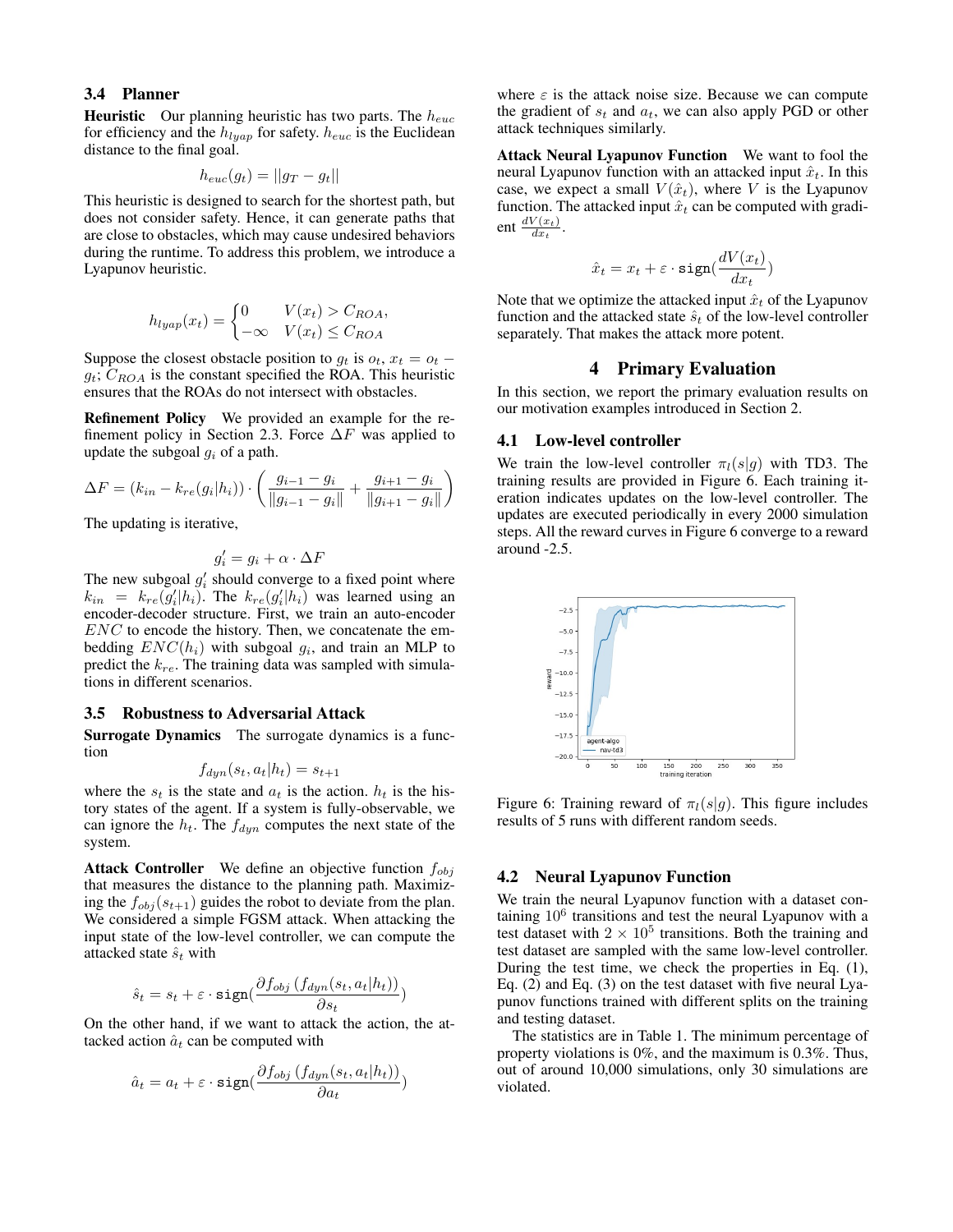#### 3.4 Planner

**Heuristic** Our planning heuristic has two parts. The  $h_{euc}$ for efficiency and the  $h_{lyap}$  for safety.  $h_{euc}$  is the Euclidean distance to the final goal.

$$
h_{euc}(g_t) = ||g_T - g_t||
$$

This heuristic is designed to search for the shortest path, but does not consider safety. Hence, it can generate paths that are close to obstacles, which may cause undesired behaviors during the runtime. To address this problem, we introduce a Lyapunov heuristic.

$$
h_{lyap}(x_t) = \begin{cases} 0 & V(x_t) > C_{ROA}, \\ -\infty & V(x_t) \le C_{ROA} \end{cases}
$$

Suppose the closest obstacle position to  $g_t$  is  $o_t$ ,  $x_t = o_t$  –  $g_t$ ;  $C_{ROA}$  is the constant specified the ROA. This heuristic ensures that the ROAs do not intersect with obstacles.

Refinement Policy We provided an example for the refinement policy in Section 2.3. Force  $\Delta F$  was applied to update the subgoal  $g_i$  of a path.

$$
\Delta F = (k_{in} - k_{re}(g_i|h_i)) \cdot \left(\frac{g_{i-1} - g_i}{\|g_{i-1} - g_i\|} + \frac{g_{i+1} - g_i}{\|g_{i+1} - g_i\|}\right)
$$

The updating is iterative,

$$
g_i' = g_i + \alpha \cdot \Delta F
$$

The new subgoal  $g'_i$  should converge to a fixed point where  $k_{in} = k_{re}(\tilde{g}_i'|h_i)$ . The  $k_{re}(g_i'|h_i)$  was learned using an encoder-decoder structure. First, we train an auto-encoder  $ENC$  to encode the history. Then, we concatenate the embedding  $ENC(h_i)$  with subgoal  $g_i$ , and train an MLP to predict the  $k_{re}$ . The training data was sampled with simulations in different scenarios.

#### 3.5 Robustness to Adversarial Attack

Surrogate Dynamics The surrogate dynamics is a function

$$
f_{dyn}(s_t, a_t | h_t) = s_{t+1}
$$

where the  $s_t$  is the state and  $a_t$  is the action.  $h_t$  is the history states of the agent. If a system is fully-observable, we can ignore the  $h_t$ . The  $f_{dyn}$  computes the next state of the system.

**Attack Controller** We define an objective function  $f_{obj}$ that measures the distance to the planning path. Maximizing the  $f_{obj}(s_{t+1})$  guides the robot to deviate from the plan. We considered a simple FGSM attack. When attacking the input state of the low-level controller, we can compute the attacked state  $\hat{s}_t$  with

$$
\hat{s}_t = s_t + \varepsilon \cdot \texttt{sign}(\frac{\partial f_{obj}\left(f_{dyn}(s_t, a_t | h_t)\right)}{\partial s_t})
$$

On the other hand, if we want to attack the action, the attacked action  $\hat{a}_t$  can be computed with

$$
\hat{a}_t = a_t + \varepsilon \cdot \texttt{sign}(\frac{\partial f_{obj}(f_{dyn}(s_t, a_t|h_t))}{\partial a_t})
$$

where  $\varepsilon$  is the attack noise size. Because we can compute the gradient of  $s_t$  and  $a_t$ , we can also apply PGD or other attack techniques similarly.

Attack Neural Lyapunov Function We want to fool the neural Lyapunov function with an attacked input  $\hat{x}_t$ . In this case, we expect a small  $V(\hat{x}_t)$ , where V is the Lyapunov function. The attacked input  $\hat{x}_t$  can be computed with gradient  $\frac{dV(x_t)}{dx_t}$ .

$$
\hat{x}_t = x_t + \varepsilon \cdot \text{sign}(\frac{dV(x_t)}{dx_t})
$$

Note that we optimize the attacked input  $\hat{x}_t$  of the Lyapunov function and the attacked state  $\hat{s}_t$  of the low-level controller separately. That makes the attack more potent.

## 4 Primary Evaluation

In this section, we report the primary evaluation results on our motivation examples introduced in Section 2.

#### 4.1 Low-level controller

We train the low-level controller  $\pi_l(s|g)$  with TD3. The training results are provided in Figure 6. Each training iteration indicates updates on the low-level controller. The updates are executed periodically in every 2000 simulation steps. All the reward curves in Figure 6 converge to a reward around -2.5.



Figure 6: Training reward of  $\pi_l(s|g)$ . This figure includes results of 5 runs with different random seeds.

#### 4.2 Neural Lyapunov Function

We train the neural Lyapunov function with a dataset containing  $10^6$  transitions and test the neural Lyapunov with a test dataset with  $2 \times 10^5$  transitions. Both the training and test dataset are sampled with the same low-level controller. During the test time, we check the properties in Eq. (1), Eq. (2) and Eq. (3) on the test dataset with five neural Lyapunov functions trained with different splits on the training and testing dataset.

The statistics are in Table 1. The minimum percentage of property violations is 0%, and the maximum is 0.3%. Thus, out of around 10,000 simulations, only 30 simulations are violated.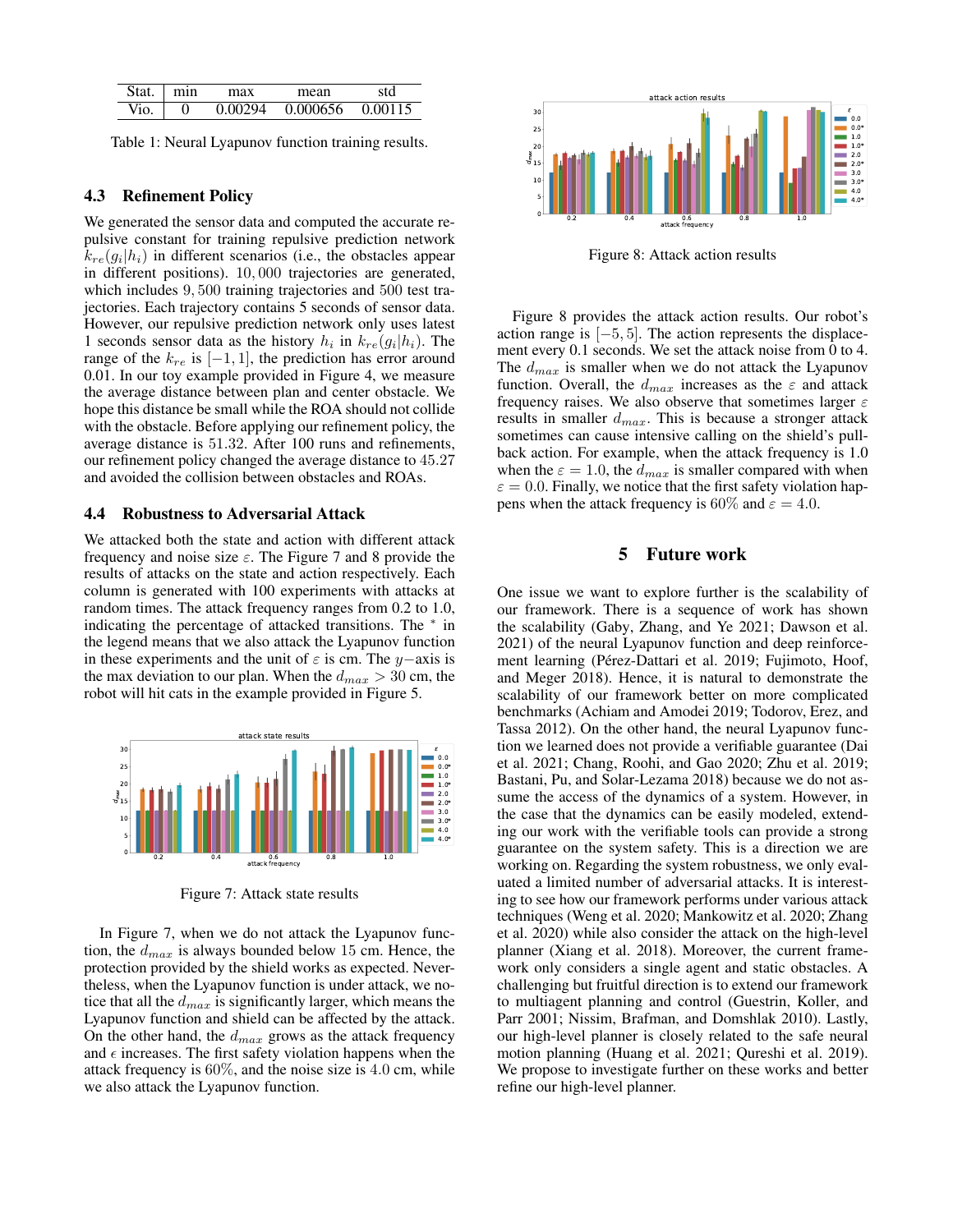| Stat | ٠<br>١ın | าลx   | าคลท     |         |
|------|----------|-------|----------|---------|
|      | 0        | ገበ294 | 0.000656 | 0.00115 |

Table 1: Neural Lyapunov function training results.

## 4.3 Refinement Policy

We generated the sensor data and computed the accurate repulsive constant for training repulsive prediction network  $k_{re}(g_i|h_i)$  in different scenarios (i.e., the obstacles appear in different positions). 10, 000 trajectories are generated, which includes 9, 500 training trajectories and 500 test trajectories. Each trajectory contains 5 seconds of sensor data. However, our repulsive prediction network only uses latest 1 seconds sensor data as the history  $h_i$  in  $k_{re}(g_i|h_i)$ . The range of the  $k_{re}$  is  $[-1, 1]$ , the prediction has error around 0.01. In our toy example provided in Figure 4, we measure the average distance between plan and center obstacle. We hope this distance be small while the ROA should not collide with the obstacle. Before applying our refinement policy, the average distance is 51.32. After 100 runs and refinements, our refinement policy changed the average distance to 45.27 and avoided the collision between obstacles and ROAs.

## 4.4 Robustness to Adversarial Attack

We attacked both the state and action with different attack frequency and noise size  $\varepsilon$ . The Figure 7 and 8 provide the results of attacks on the state and action respectively. Each column is generated with 100 experiments with attacks at random times. The attack frequency ranges from 0.2 to 1.0, indicating the percentage of attacked transitions. The <sup>∗</sup> in the legend means that we also attack the Lyapunov function in these experiments and the unit of  $\varepsilon$  is cm. The y−axis is the max deviation to our plan. When the  $d_{max} > 30$  cm, the robot will hit cats in the example provided in Figure 5.



Figure 7: Attack state results

In Figure 7, when we do not attack the Lyapunov function, the  $d_{max}$  is always bounded below 15 cm. Hence, the protection provided by the shield works as expected. Nevertheless, when the Lyapunov function is under attack, we notice that all the  $d_{max}$  is significantly larger, which means the Lyapunov function and shield can be affected by the attack. On the other hand, the  $d_{max}$  grows as the attack frequency and  $\epsilon$  increases. The first safety violation happens when the attack frequency is 60%, and the noise size is 4.0 cm, while we also attack the Lyapunov function.



Figure 8: Attack action results

Figure 8 provides the attack action results. Our robot's action range is [−5, 5]. The action represents the displacement every 0.1 seconds. We set the attack noise from 0 to 4. The  $d_{max}$  is smaller when we do not attack the Lyapunov function. Overall, the  $d_{max}$  increases as the  $\varepsilon$  and attack frequency raises. We also observe that sometimes larger  $\varepsilon$ results in smaller  $d_{max}$ . This is because a stronger attack sometimes can cause intensive calling on the shield's pullback action. For example, when the attack frequency is 1.0 when the  $\varepsilon = 1.0$ , the  $d_{max}$  is smaller compared with when  $\varepsilon = 0.0$ . Finally, we notice that the first safety violation happens when the attack frequency is 60% and  $\varepsilon = 4.0$ .

## 5 Future work

One issue we want to explore further is the scalability of our framework. There is a sequence of work has shown the scalability (Gaby, Zhang, and Ye 2021; Dawson et al. 2021) of the neural Lyapunov function and deep reinforcement learning (Pérez-Dattari et al. 2019; Fujimoto, Hoof, and Meger 2018). Hence, it is natural to demonstrate the scalability of our framework better on more complicated benchmarks (Achiam and Amodei 2019; Todorov, Erez, and Tassa 2012). On the other hand, the neural Lyapunov function we learned does not provide a verifiable guarantee (Dai et al. 2021; Chang, Roohi, and Gao 2020; Zhu et al. 2019; Bastani, Pu, and Solar-Lezama 2018) because we do not assume the access of the dynamics of a system. However, in the case that the dynamics can be easily modeled, extending our work with the verifiable tools can provide a strong guarantee on the system safety. This is a direction we are working on. Regarding the system robustness, we only evaluated a limited number of adversarial attacks. It is interesting to see how our framework performs under various attack techniques (Weng et al. 2020; Mankowitz et al. 2020; Zhang et al. 2020) while also consider the attack on the high-level planner (Xiang et al. 2018). Moreover, the current framework only considers a single agent and static obstacles. A challenging but fruitful direction is to extend our framework to multiagent planning and control (Guestrin, Koller, and Parr 2001; Nissim, Brafman, and Domshlak 2010). Lastly, our high-level planner is closely related to the safe neural motion planning (Huang et al. 2021; Qureshi et al. 2019). We propose to investigate further on these works and better refine our high-level planner.